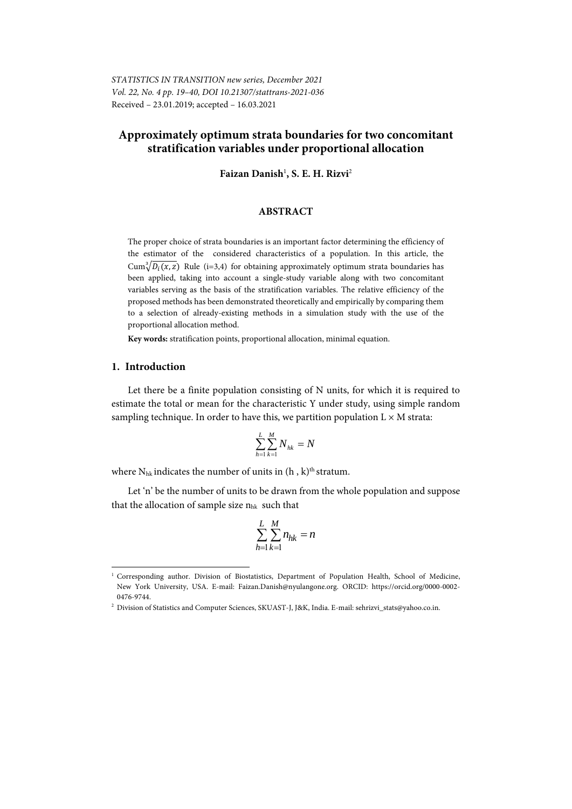# **Approximately optimum strata boundaries for two concomitant stratification variables under proportional allocation**

Faizan Danish<sup>1</sup>, S. E. H. Rizvi<sup>2</sup>

### **ABSTRACT**

The proper choice of strata boundaries is an important factor determining the efficiency of the estimator of the considered characteristics of a population. In this article, the  $\text{Cum}_{\mathcal{N}}^3\overline{D_i(x,z)}$  Rule (i=3,4) for obtaining approximately optimum strata boundaries has been applied, taking into account a single-study variable along with two concomitant variables serving as the basis of the stratification variables. The relative efficiency of the proposed methods has been demonstrated theoretically and empirically by comparing them to a selection of already-existing methods in a simulation study with the use of the proportional allocation method.

**Key words:** stratification points, proportional allocation, minimal equation.

#### **1. Introduction**

l

Let there be a finite population consisting of N units, for which it is required to estimate the total or mean for the characteristic Y under study, using simple random sampling technique. In order to have this, we partition population  $L \times M$  strata:

$$
\sum_{h=1}^{L} \sum_{k=1}^{M} N_{hk} = N
$$

where  $N_{hk}$  indicates the number of units in  $(h, k)$ <sup>th</sup> stratum.

Let 'n' be the number of units to be drawn from the whole population and suppose that the allocation of sample size  $n_{hk}$  such that

$$
\sum_{h=1}^{L} \sum_{k=1}^{M} n_{hk} = n
$$

<sup>&</sup>lt;sup>1</sup> Corresponding author. Division of Biostatistics, Department of Population Health, School of Medicine, New York University, USA. E-mail: Faizan.Danish@nyulangone.org. ORCID: https://orcid.org/0000-0002- 0476-9744.

<sup>&</sup>lt;sup>2</sup> Division of Statistics and Computer Sciences, SKUAST-J, J&K, India. E-mail: sehrizvi\_stats@yahoo.co.in.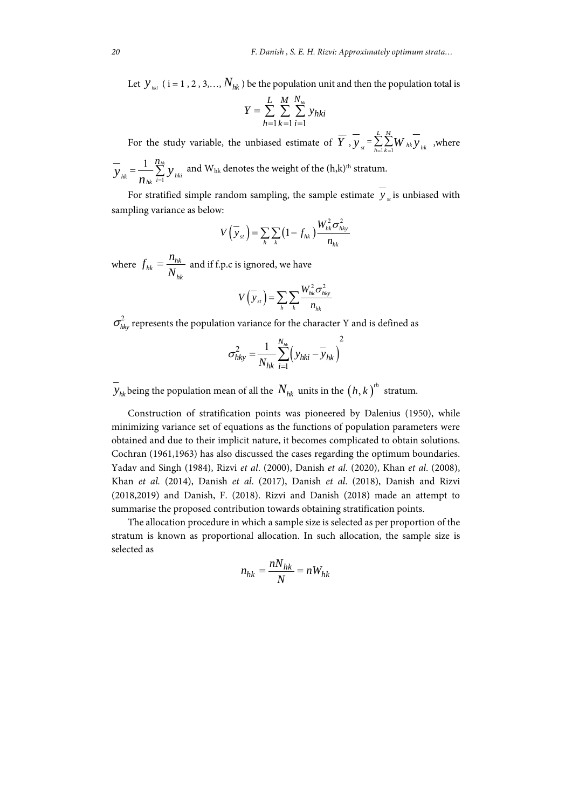Let  $y_{\scriptscriptstyle{hhi}}$  ( i = 1, 2, 3,...,  $N_{\scriptscriptstyle{hk}}$  ) be the population unit and then the population total is

$$
Y = \sum_{h=1}^{L} \sum_{k=1}^{M} \sum_{i=1}^{N_{hk}} y_{hki}
$$

For the study variable, the unbiased estimate of  $\overline{Y}$ ,  $\overline{Y}_{st} = \sum_{h=1}^{L} \sum_{k=1}^{M}$  $y_{st} = \sum_{h=1}^{K} \sum_{k=1}^{K} W_{hk} y_{hk}$ , where

1 1  $\frac{n_{hk}}{n}$ *hk*  $n_{hk}$   $\overleftarrow{i=1}$   $\overrightarrow{y}$  *hki n*  $y_{ik} = \frac{1}{2} \sum y$  $n_{hk}$ <sup> $\overline{$ i=}</sup>  $\lambda = \frac{1}{2} \sum_{h} \sum_{h}$  and W<sub>hk</sub> denotes the weight of the (h,k)<sup>th</sup> stratum.

For stratified simple random sampling, the sample estimate  $\overline{y}_s$  is unbiased with sampling variance as below:

$$
V(\overline{y}_{st}) = \sum_{h} \sum_{k} \left(1 - f_{hk}\right) \frac{W_{hk}^2 \sigma_{hky}^2}{n_{hk}}
$$

where  $f_{hk} = \frac{n_{hk}}{N}$  $f_{hk} = \frac{n_{hk}}{N_{hk}}$  and if f.p.c is ignored, we have

$$
V\left(\overline{y}_{st}\right) = \sum_{h} \sum_{k} \frac{W_{hk}^2 \sigma_{hky}^2}{n_{hk}}
$$

 $\sigma_{hkv}^2$  represents the population variance for the character Y and is defined as

$$
\sigma_{hky}^2 = \frac{1}{N_{hk}} \sum_{i=1}^{N_{hk}} \left( y_{hki} - y_{hk} \right)^2
$$

 $\overline{y}_{ik}$  being the population mean of all the  $N_{hk}$  units in the  $(h, k)$ <sup>th</sup> stratum.

Construction of stratification points was pioneered by Dalenius (1950), while minimizing variance set of equations as the functions of population parameters were obtained and due to their implicit nature, it becomes complicated to obtain solutions. Cochran (1961,1963) has also discussed the cases regarding the optimum boundaries. Yadav and Singh (1984), Rizvi *et al*. (2000), Danish *et al*. (2020), Khan *et al*. (2008), Khan *et al.* (2014), Danish *et al*. (2017), Danish *et al*. (2018), Danish and Rizvi (2018,2019) and Danish, F. (2018). Rizvi and Danish (2018) made an attempt to summarise the proposed contribution towards obtaining stratification points.

The allocation procedure in which a sample size is selected as per proportion of the stratum is known as proportional allocation. In such allocation, the sample size is selected as

$$
n_{hk} = \frac{nN_{hk}}{N} = nW_{hk}
$$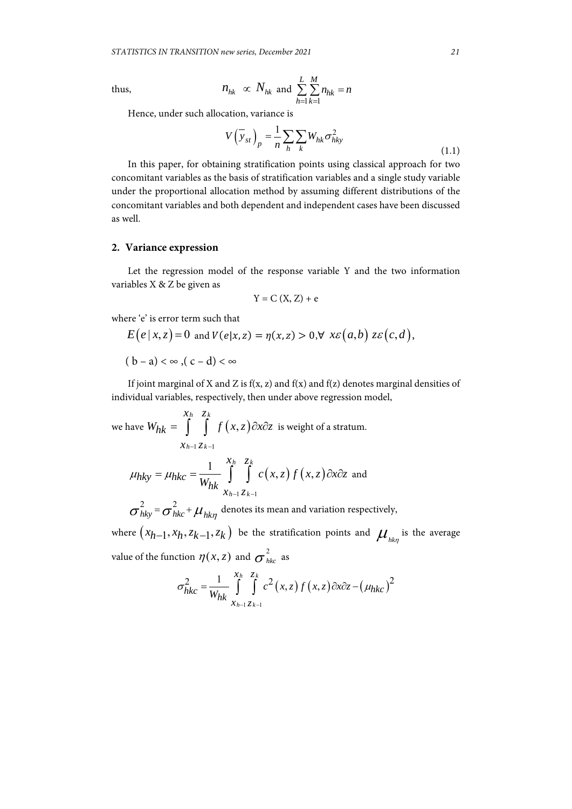thus, 
$$
n_{hk} \propto N_{hk}
$$
 and  $\sum_{h=1}^{L} \sum_{k=1}^{M} n_{hk} = n$ 

Hence, under such allocation, variance is

$$
V(\overline{y}_{st})_p = \frac{1}{n} \sum_h \sum_k W_{hk} \sigma_{hk}^2
$$
\n(1.1)

In this paper, for obtaining stratification points using classical approach for two concomitant variables as the basis of stratification variables and a single study variable under the proportional allocation method by assuming different distributions of the concomitant variables and both dependent and independent cases have been discussed as well.

# **2. Variance expression**

Let the regression model of the response variable Y and the two information variables X & Z be given as

$$
Y = C(X, Z) + e
$$

where 'e' is error term such that

$$
E(e | x, z) = 0 \text{ and } V(e | x, z) = \eta(x, z) > 0, \forall x \varepsilon(a, b) z \varepsilon(c, d).
$$
  
(b - a)  $\infty$ , (c - d)  $\infty$ 

If joint marginal of X and Z is  $f(x, z)$  and  $f(x)$  and  $f(z)$  denotes marginal densities of individual variables, respectively, then under above regression model,

we have  $W_{hk} = \begin{pmatrix} 1 & f(x, z) \end{pmatrix}$  $x_{h-1} z_{k-1}$ *h k hk*  $x_h$  *z*  $W_{hk} = \int \int f(x, z) \partial x \partial z$  is weight of a stratum.

$$
\mu_{hky} = \mu_{hkc} = \frac{1}{W_{hk}} \int_{x_{h-1}z_{k-1}}^{x_h} c(x, z) f(x, z) \partial x \partial z
$$
 and

 $\sigma_{hky}^2 = \sigma_{hkc}^2 + \mu_{hk\eta}$  denotes its mean and variation respectively,

where  $(x_{h-1}, x_h, z_{k-1}, z_k)$  be the stratification points and  $\mu_{\scriptscriptstyle hkn}^{\scriptscriptstyle -}$  is the average value of the function  $\eta(x,z)$  and  $\sigma_{\scriptscriptstyle{hkc}}^{\scriptscriptstyle{2}}$  as

$$
\sigma_{hkc}^2 = \frac{1}{W_{hk}} \int_{x_{h-1}z_{k-1}}^{x_h} \int_{z_{h-1}}^{z_k} c^2(x, z) f(x, z) \, \partial x \partial z - (\mu_{hkc})^2
$$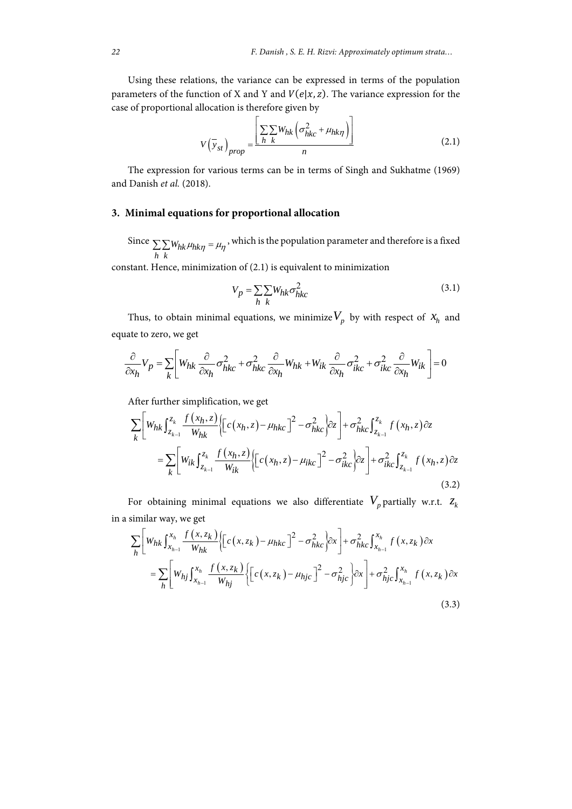Using these relations, the variance can be expressed in terms of the population parameters of the function of X and Y and  $V(e|x, z)$ . The variance expression for the case of proportional allocation is therefore given by

$$
V(\bar{y}_{st})_{prop} = \frac{\left[\sum_{h} \sum_{k} W_{hk} \left(\sigma_{hkc}^2 + \mu_{hk}\eta\right)\right]}{n} \tag{2.1}
$$

The expression for various terms can be in terms of Singh and Sukhatme (1969) and Danish *et al.* (2018).

### **3. Minimal equations for proportional allocation**

Since  $\sum \sum W_{hk} \mu_{hk}$ *h k*  $\sum \sum W_{hk} \mu_{hk\eta} = \mu_\eta$ , which is the population parameter and therefore is a fixed

constant. Hence, minimization of (2.1) is equivalent to minimization

$$
V_p = \sum_{h} \sum_{k} W_{hk} \sigma_{hk}^2 \tag{3.1}
$$

Thus, to obtain minimal equations, we minimize  $V_p$  by with respect of  $x_h$  and equate to zero, we get

$$
\frac{\partial}{\partial x_h} V_p = \sum_k \left[ W_{hk} \frac{\partial}{\partial x_h} \sigma_{hkc}^2 + \sigma_{hkc}^2 \frac{\partial}{\partial x_h} W_{hk} + W_{ik} \frac{\partial}{\partial x_h} \sigma_{ikc}^2 + \sigma_{ikc}^2 \frac{\partial}{\partial x_h} W_{ik} \right] = 0
$$

After further simplification, we get

$$
\sum_{k} \left[ W_{hk} \int_{z_{k-1}}^{z_k} \frac{f(x_h, z)}{W_{hk}} \left\{ \left[ c(x_h, z) - \mu_{hkc} \right]^2 - \sigma_{hkc}^2 \right\} \right] + \sigma_{hkc}^2 \int_{z_{k-1}}^{z_k} f(x_h, z) \partial z
$$
\n
$$
= \sum_{k} \left[ W_{ik} \int_{z_{k-1}}^{z_k} \frac{f(x_h, z)}{W_{ik}} \left\{ \left[ c(x_h, z) - \mu_{ikc} \right]^2 - \sigma_{ikc}^2 \right\} \right] + \sigma_{ikc}^2 \int_{z_{k-1}}^{z_k} f(x_h, z) \partial z
$$
\n(3.2)

For obtaining minimal equations we also differentiate  $V_p$  partially w.r.t.  $z_k$ in a similar way, we get

$$
\sum_{h} \left[ W_{hk} \int_{x_{h-1}}^{x_h} \frac{f(x, z_k)}{W_{hk}} \left\{ \left[ c(x, z_k) - \mu_{hkc} \right]^2 - \sigma_{hkc}^2 \right\} \right] + \sigma_{hkc}^2 \int_{x_{h-1}}^{x_h} f(x, z_k) \, dx
$$
\n
$$
= \sum_{h} \left[ W_{hj} \int_{x_{h-1}}^{x_h} \frac{f(x, z_k)}{W_{hj}} \left\{ \left[ c(x, z_k) - \mu_{hjc} \right]^2 - \sigma_{hjc}^2 \right\} \right] + \sigma_{hjc}^2 \int_{x_{h-1}}^{x_h} f(x, z_k) \, dx
$$
\n
$$
(3.3)
$$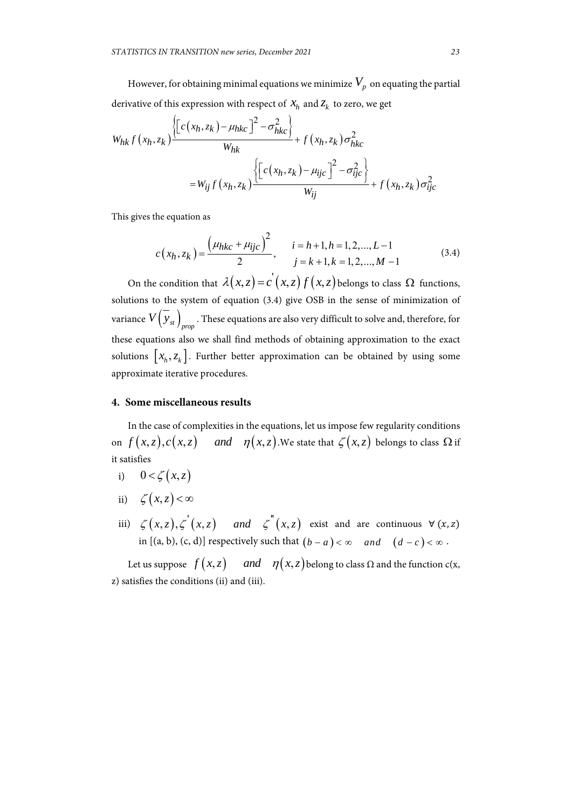However, for obtaining minimal equations we minimize  $V_p$  on equating the partial derivative of this expression with respect of  $X_h$  and  $Z_k$  to zero, we get

$$
W_{hk} f(x_h, z_k) \frac{\left\{ \left[ c(x_h, z_k) - \mu_{hkc} \right]^2 - \sigma_{hkc}^2 \right\}}{W_{hk}} + f(x_h, z_k) \sigma_{hkc}^2
$$
  
= 
$$
W_{ij} f(x_h, z_k) \frac{\left\{ \left[ c(x_h, z_k) - \mu_{ijc} \right]^2 - \sigma_{ijc}^2 \right\}}{W_{ij}} + f(x_h, z_k) \sigma_{ijc}^2
$$

This gives the equation as

$$
c(x_h, z_k) = \frac{(\mu_{hkc} + \mu_{ijc})^2}{2}, \qquad i = h+1, h = 1, 2, ..., L-1
$$
  
 
$$
j = k+1, k = 1, 2, ..., M-1
$$
 (3.4)

On the condition that  $\lambda(x, z) = c'(x, z) f(x, z)$  belongs to class  $\Omega$  functions, solutions to the system of equation (3.4) give OSB in the sense of minimization of variance  $V\Big(\, {\cal Y}_{st}\, \Big)_{prop}$  . These equations are also very difficult to solve and, therefore, for these equations also we shall find methods of obtaining approximation to the exact solutions  $[x_h, z_k]$ . Further better approximation can be obtained by using some approximate iterative procedures.

#### **4. Some miscellaneous results**

In the case of complexities in the equations, let us impose few regularity conditions on  $f(x, z), c(x, z)$  and  $\eta(x, z)$ . We state that  $\zeta(x, z)$  belongs to class  $\Omega$  if it satisfies

- i)  $0 < \zeta(x, z)$
- ii)  $\zeta(x,z) < \infty$
- iii)  $\zeta(x, z), \zeta'(x, z)$  and  $\zeta''(x, z)$  exist and are continuous  $\forall (x, z)$ in  $[(a, b), (c, d)]$  respectively such that  $(b - a) < \infty$  and  $(d - c) < \infty$ .

Let us suppose  $f(x, z)$  and  $\eta(x, z)$  belong to class  $\Omega$  and the function c(x, z) satisfies the conditions (ii) and (iii).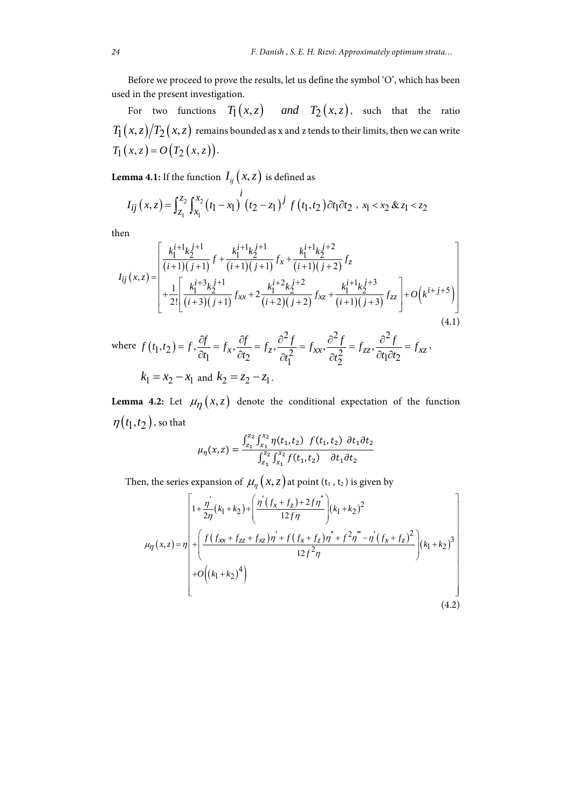Before we proceed to prove the results, let us define the symbol 'O', which has been used in the present investigation.

For two functions  $T_1(x,z)$  and  $T_2(x,z)$ , such that the ratio  $T_1(x, z)/T_2(x, z)$  remains bounded as x and z tends to their limits, then we can write  $T_1(x, z) = O(T_2(x, z)).$ 

**Lemma 4.1:** If the function  $I_{ij}(x, z)$  is defined as

$$
I_{ij}(x,z) = \int_{z_1}^{z_2} \int_{x_1}^{x_2} (t_1 - x_1)^i (t_2 - z_1)^j f(t_1, t_2) dt_1 dt_2, x_1 < x_2 \& z_1 < z_2
$$

then

$$
I_{ij}(x,z) = \begin{bmatrix} \frac{k_1^{i+1}k_2^{j+1}}{(i+1)(j+1)} f + \frac{k_1^{i+1}k_2^{j+1}}{(i+1)(j+1)} f_x + \frac{k_1^{i+1}k_2^{j+2}}{(i+1)(j+2)} f_z \\ + \frac{1}{2!} \begin{bmatrix} \frac{k_1^{i+3}k_2^{j+1}}{(i+3)(j+1)} f_{xx} + 2 \frac{k_1^{i+2}k_2^{j+2}}{(i+2)(j+2)} f_{xz} + \frac{k_1^{i+1}k_2^{j+3}}{(i+1)(j+3)} f_{zz} \end{bmatrix} + O(k^{i+j+5}) \end{bmatrix}
$$
\n(4.1)

where 
$$
f(t_1, t_2) = f
$$
,  $\frac{\partial f}{\partial t_1} = f_x$ ,  $\frac{\partial f}{\partial t_2} = f_z$ ,  $\frac{\partial^2 f}{\partial t_1^2} = f_{xx}$ ,  $\frac{\partial^2 f}{\partial t_2^2} = f_{zz}$ ,  $\frac{\partial^2 f}{\partial t_1 \partial t_2} = f_{xz}$ ,  
\n $k_1 = x_2 - x_1$  and  $k_2 = z_2 - z_1$ .

**Lemma 4.2:** Let  $\mu_{\eta}(x, z)$  denote the conditional expectation of the function  $\eta(t_1, t_2)$ , so that

$$
\mu_{\eta}(x, z) = \frac{\int_{z_1}^{z_2} \int_{x_1}^{x_2} \eta(t_1, t_2) f(t_1, t_2) dt_1 dt_2}{\int_{z_1}^{z_2} \int_{x_1}^{x_2} f(t_1, t_2) dt_1 dt_2}
$$

Then, the series expansion of  $\mu_{\eta}(x, z)$  at point (t<sub>1</sub>, t<sub>2</sub>) is given by

$$
\mu_{\eta}(x,z) = \eta \left[ 1 + \frac{\eta^{2}}{2\eta} (k_{1} + k_{2}) + \left( \frac{\eta^{2} (f_{x} + f_{z}) + 2f\eta^{2}}{12f\eta} \right) (k_{1} + k_{2})^{2} + \left( \frac{f (f_{xx} + f_{zz} + f_{xz})\eta^{2} + f (f_{x} + f_{z})\eta^{2} + f (f_{x} + f_{z})\eta^{2} + f (f_{x} + f_{z})\eta^{2}}{12f^{2}\eta} \right) (k_{1} + k_{2})^{3} + O((k_{1} + k_{2})^{4}) \right]
$$
\n(4.2)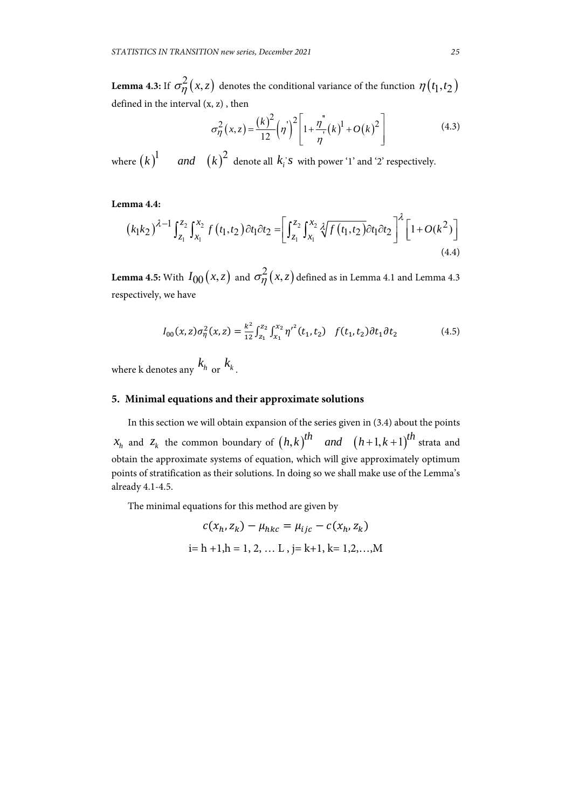**Lemma 4.3:** If  $\sigma_{\eta}^2(x, z)$  denotes the conditional variance of the function  $\eta(t_1, t_2)$ defined in the interval (x, z) , then

$$
\sigma_{\eta}^{2}(x,z) = \frac{(k)^{2}}{12}(\eta^{2}) \left[1 + \frac{\eta^{2}}{\eta^{2}}(k)^{1} + O(k)^{2}\right]
$$
\n(4.3)

where  $(k)^1$  *and*  $(k)^2$  denote all  $k_i$ 's with power '1' and '2' respectively.

# **Lemma 4.4:**

$$
(k_1k_2)^{\lambda-1} \int_{z_1}^{z_2} \int_{x_1}^{x_2} f(t_1, t_2) \partial t_1 \partial t_2 = \left[ \int_{z_1}^{z_2} \int_{x_1}^{x_2} \sqrt[3]{f(t_1, t_2)} \partial t_1 \partial t_2 \right]^{\lambda} \left[ 1 + O(k^2) \right]
$$
\n(4.4)

**Lemma 4.5:** With  $I_{00}(x, z)$  and  $\sigma_{\eta}^{2}(x, z)$  defined as in Lemma 4.1 and Lemma 4.3 respectively, we have

$$
I_{00}(x,z)\sigma_{\eta}^{2}(x,z) = \frac{k^{2}}{12} \int_{z_{1}}^{z_{2}} \int_{x_{1}}^{x_{2}} \eta^{\prime^{2}}(t_{1}, t_{2}) f(t_{1}, t_{2}) dt_{1} dt_{2}
$$
(4.5)

where k denotes any  $k_{h}$  or  $k_{k}$ .

### **5. Minimal equations and their approximate solutions**

In this section we will obtain expansion of the series given in (3.4) about the points  $x_h$  and  $z_k$  the common boundary of  $(h,k)$ <sup>th</sup> *and*  $(h+1,k+1)$ <sup>th</sup> strata and obtain the approximate systems of equation, which will give approximately optimum points of stratification as their solutions. In doing so we shall make use of the Lemma's already 4.1-4.5.

The minimal equations for this method are given by

$$
c(x_h, z_k) - \mu_{hkc} = \mu_{ijc} - c(x_h, z_k)
$$
  
i= h +1,h = 1, 2, ... L, j= k+1, k= 1,2,...,M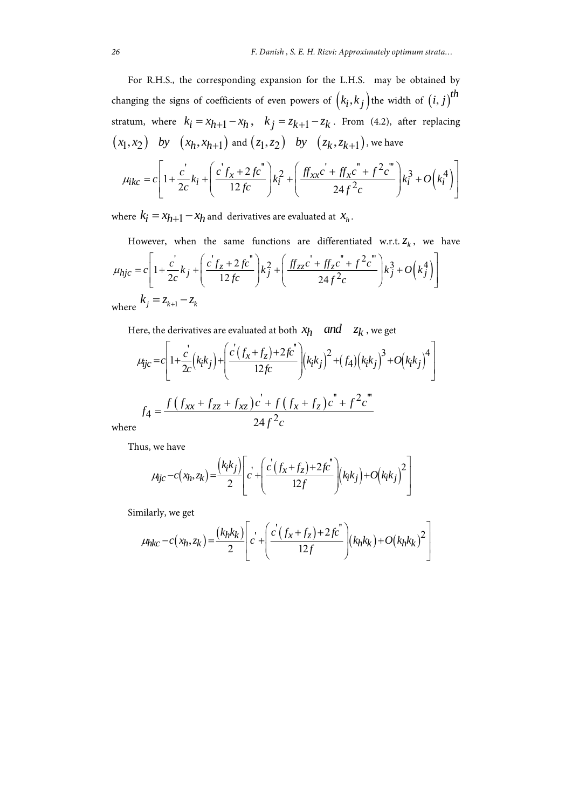For R.H.S., the corresponding expansion for the L.H.S. may be obtained by changing the signs of coefficients of even powers of  $(k_i, k_j)$  the width of  $(i, j)$ <sup>th</sup> stratum, where  $k_i = x_{h+1} - x_h$ ,  $k_j = z_{k+1} - z_k$ . From (4.2), after replacing  $(x_1, x_2)$  *by*  $(x_h, x_{h+1})$  and  $(z_1, z_2)$  *by*  $(z_k, z_{k+1})$ , we have

$$
\mu_{ikc} = c \left[ 1 + \frac{c'}{2c} k_i + \left( \frac{c' f_x + 2 f c''}{12 f c} \right) k_i^2 + \left( \frac{f f_{xx} c' + f f_{x} c'' + f^2 c'''}{24 f^2 c} \right) k_i^3 + O\left(k_i^4\right) \right]
$$

where  $k_i = x_{h+1} - x_h$  and derivatives are evaluated at  $x_h$ .

However, when the same functions are differentiated w.r.t.  $Z_k$ , we have  $\int_{-k_j}^{k} k_j + \left( \frac{c' f_z + 2 f c''}{12 f_z} \right) k_j^2 + \left( \frac{f f_{zz} c' + f f_z c'' + f^2 c'''}{24 f_z^2} \right) k_j^3 + O(k_j^4)$  $1 + \frac{c}{2c}k_j + \left(\frac{cf_z + 2fc}{12fc}\right)k_j^2 + \left(\frac{ff_{zz}c + ff_{z}c}{24f_{z}^2}\right)$  $2c^{-J}$  |  $12fc$  |  $J$  |  $24$  $h_{ijc} = c \left[ 1 + \frac{c}{2\epsilon} k_j + \left( \frac{c f_z + 2 f c}{12 f_c} \right) k_j^2 + \left( \frac{f f_{zz} c + f_z c + f^2 c}{2\epsilon^2} \right) k_j^3 + O\left(k_j^4\right) \right]$  $\mu_{hjc} = c \left( 1 + \frac{c'}{2c} k_j + \left( \frac{c' f_z + 2 f c''}{12 f c} \right) k_j^2 + \left( \frac{f f_{zz} c' + f f_z c'' + f^2 c'''}{24 f^2 c} \right) k_j^3 + O(k_j^4) \right)$  $\left[ \begin{array}{cc} 2c & \sqrt{12c} \\ 12c & \sqrt{12c} \\ 12c & \sqrt{12c} \\ 12c & \sqrt{12c} \\ 12c & \sqrt{12c} \\ 12c & \sqrt{12c} \\ 12c & \sqrt{12c} \\ 12c & \sqrt{12c} \\ 12c & \sqrt{12c} \\ 12c & \sqrt{12c} \\ 12c & \sqrt{12c} \\ 12c & \sqrt{12c} \\ 12c & \sqrt{12c} \\ 12c & \sqrt{12c} \\ 12c & \sqrt{12c} \\ 12c & \sqrt{12c} \\ 12$ where  $k_j = z_{k+1} - z_k$ 

Here, the derivatives are evaluated at both  $x_h$  *and*  $z_k$ , we get

$$
\mu_{\text{f}j\text{c}} = c \left[ 1 + \frac{c^{\prime}}{2c} \left( k_i k_j \right) + \left( \frac{c^{\prime} \left( f_x + f_z \right) + 2fc^{\prime \prime}}{12fc} \right) \left( k_i k_j \right)^2 + \left( f_4 \right) \left( k_i k_j \right)^3 + O \left( k_i k_j \right)^4 \right]
$$
\n
$$
f_4 = \frac{f \left( f_{xx} + f_{zz} + f_{xz} \right) c^{\prime} + f \left( f_x + f_z \right) c^{\prime \prime} + f^2 c^{\prime \prime \prime}}{24f^2 c}
$$

where

Thus, we have

$$
\mu_{ijc} - c(x_h, z_k) = \frac{(k_ik_j)}{2} \left[ c^{\dagger} + \left( \frac{c^{\dagger} (f_x + f_z) + 2fc^{\dagger}}{12f} \right) (k_ik_j) + O(k_ik_j)^2 \right]
$$

Similarly, we get

$$
\mu_{hkc} - c(x_h, z_k) = \frac{(k_h k_k)}{2} \left[ c' + \left( \frac{c'(f_x + f_z) + 2fc''}{12f} \right) (k_h k_k) + O(k_h k_k)^2 \right]
$$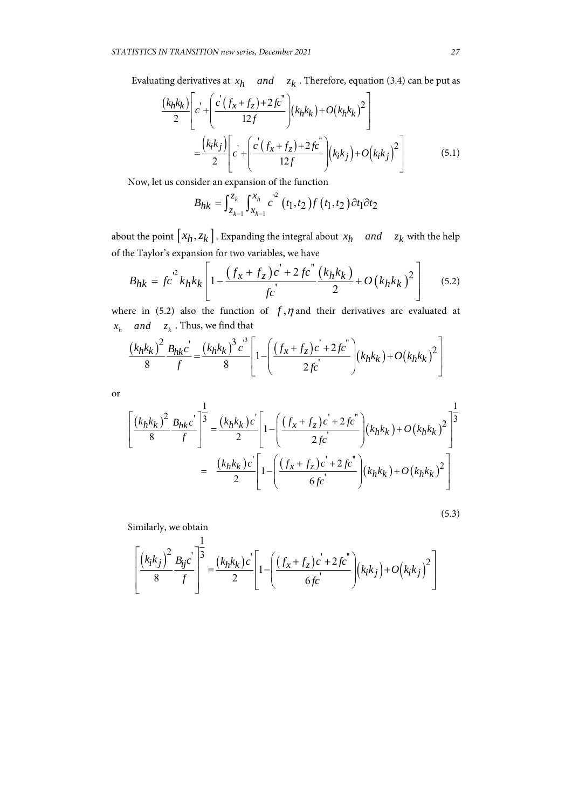Evaluating derivatives at  $x_h$  *and*  $z_k$ . Therefore, equation (3.4) can be put as

$$
\frac{(k_h k_k)}{2} \left[ c' + \left( \frac{c'(f_x + f_z) + 2fc''}{12f} \right) (k_h k_k) + O(k_h k_k)^2 \right]
$$

$$
= \frac{(k_i k_j)}{2} \left[ c' + \left( \frac{c'(f_x + f_z) + 2fc''}{12f} \right) (k_i k_j) + O(k_i k_j)^2 \right]
$$
(5.1)

Now, let us consider an expansion of the function

$$
B_{hk} = \int_{z_{k-1}}^{z_k} \int_{x_{h-1}}^{x_h} c^2 (t_1, t_2) f(t_1, t_2) \partial t_1 \partial t_2
$$

about the point  $\left[ x_h, z_k \right]$ . Expanding the integral about  $x_h$  *and*  $z_k$  with the help of the Taylor's expansion for two variables, we have

$$
B_{hk} = f c^{2} k_h k_k \left[ 1 - \frac{\left(f_x + f_z\right) c^2 + 2 f c^{\prime \prime}}{f c^2} \frac{\left(k_h k_k\right)}{2} + O\left(k_h k_k\right)^2 \right] \tag{5.2}
$$

where in (5.2) also the function of  $f, \eta$  and their derivatives are evaluated at  $x_h$  *and*  $z_k$ . Thus, we find that

$$
\frac{(k_h k_k)^2}{8} \frac{B_{hk} c^{'}}{f} = \frac{(k_h k_k)^3 c^3}{8} \left[ 1 - \left( \frac{(f_x + f_z)c^{'} + 2fc^{''}}{2fc^{'} }\right) (k_h k_k) + O(k_h k_k)^2 \right]
$$

or

$$
\left[ \frac{(k_h k_k)^2}{8} \frac{B_{hk} c^2}{f} \right]^{\frac{1}{3}} = \frac{(k_h k_k) c^2}{2} \left[ 1 - \left( \frac{(f_x + f_z) c^2 + 2fc^2}{2fc^2} \right) (k_h k_k) + O(k_h k_k)^2 \right]^{\frac{1}{3}}
$$

$$
= \frac{(k_h k_k) c^2}{2} \left[ 1 - \left( \frac{(f_x + f_z) c^2 + 2fc^2}{6fc^2} \right) (k_h k_k) + O(k_h k_k)^2 \right]
$$

$$
(5.3)
$$

Similarly, we obtain

$$
\left[ \frac{(k_{i}k_{j})^{2}}{8} \frac{B_{ij}c}{f} \right]^{\frac{1}{3}} = \frac{(k_{h}k_{k})c}{2} \left[ 1 - \left( \frac{(f_{x} + f_{z})c^{'} + 2fc^{''}}{6fc^{'} } \right) (k_{i}k_{j}) + O(k_{i}k_{j})^{2} \right]
$$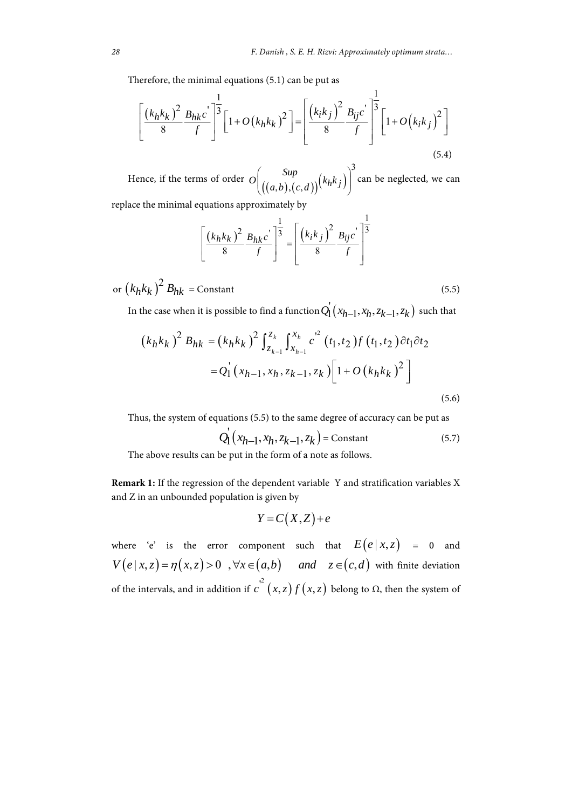Therefore, the minimal equations (5.1) can be put as

$$
\left[\frac{(k_h k_k)^2}{8} \frac{B_{hk} c^2}{f}\right]^{\frac{1}{3}} \left[1 + O(k_h k_k)^2\right] = \left[\frac{(k_i k_j)^2}{8} \frac{B_{ij} c^2}{f}\right]^{\frac{1}{3}} \left[1 + O(k_i k_j)^2\right]
$$
\n(5.4)

Hence, if the terms of order  $O\Big|_{((a,b),(c,d))} (k_h k_j)$ 3  $O((\binom{Sup}{((a,b),(c,d))}(\binom{k}{h}^k)$  $((a,b),(c,a))$ can be neglected, we can

replace the minimal equations approximately by

$$
\left[\frac{(k_h k_k)^2}{8} \frac{B_{hk} c^{'}}{f}\right]^{\frac{1}{3}} = \left[\frac{(k_i k_j)^2}{8} \frac{B_{ij} c^{'}}{f}\right]^{\frac{1}{3}}
$$

or  $(k_h k_k)^2 B_{hk}$  = Constant (5.5)

In the case when it is possible to find a function  $Q_1^{'}(x_{h-1}, x_h, z_{k-1}, z_k)$  such that

$$
(k_h k_k)^2 B_{hk} = (k_h k_k)^2 \int_{z_{k-1}}^{z_k} \int_{x_{h-1}}^{x_h} c^2 (t_1, t_2) f(t_1, t_2) \partial t_1 \partial t_2
$$
  
=  $Q_1 (x_{h-1}, x_h, z_{k-1}, z_k) \Big[ 1 + O(k_h k_k)^2 \Big]$  (5.6)

Thus, the system of equations (5.5) to the same degree of accuracy can be put as

$$
Q'_1(x_{h-1}, x_h, z_{k-1}, z_k) = \text{Constant}
$$
 (5.7)

The above results can be put in the form of a note as follows.

**Remark 1:** If the regression of the dependent variable Y and stratification variables X and Z in an unbounded population is given by

$$
Y = C(X,Z) + e
$$

where 'e' is the error component such that  $E(e | x, z) = 0$  and  $V(e | x, z) = \eta(x, z) > 0$ ,  $\forall x \in (a, b)$  and  $z \in (c, d)$  with finite deviation of the intervals, and in addition if  $c^{2}(x, z) f(x, z)$  belong to Ω, then the system of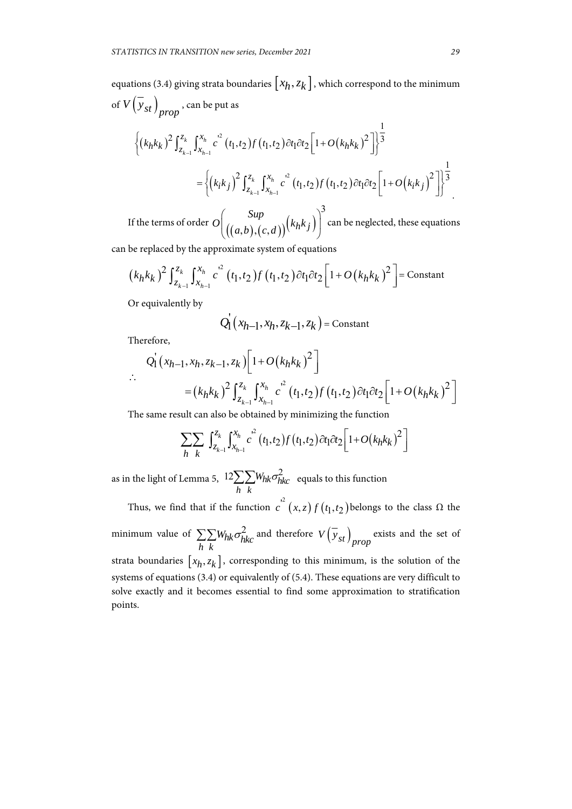equations (3.4) giving strata boundaries  $\left[ x_h, z_k \right]$ , which correspond to the minimum of  $V(y_{st})$ <sub>prop</sub>, can be put as

$$
\left\{ (k_h k_k)^2 \int_{z_{k-1}}^{z_k} \int_{x_{h-1}}^{x_h} c^2 (t_1, t_2) f(t_1, t_2) \partial t_1 \partial t_2 \left[ 1 + O(k_h k_k)^2 \right] \right\}^{\frac{1}{3}}
$$
  
= 
$$
\left\{ (k_i k_j)^2 \int_{z_{k-1}}^{z_k} \int_{x_{h-1}}^{x_h} c^2 (t_1, t_2) f(t_1, t_2) \partial t_1 \partial t_2 \left[ 1 + O(k_i k_j)^2 \right] \right\}^{\frac{1}{3}}
$$

If the terms of order  $O_{\left(\left((a,b),(c,d)\right)\right)}^{P}\left(k_{h}k_{j}\right)$ 3  $O((\binom{Sup}{((a,b),(c,d))}(\binom{k_hk_j}{k})$  $((a,b),(c,a))$ can be neglected, these equations

can be replaced by the approximate system of equations

$$
(k_h k_k)^2 \int_{z_{k-1}}^{z_k} \int_{x_{h-1}}^{x_h} c^2 (t_1, t_2) f(t_1, t_2) \partial t_1 \partial t_2 \left[1 + O(k_h k_k)^2\right] = \text{Constant}
$$

Or equivalently by

$$
Q_{1}(x_{h-1},x_{h},z_{k-1},z_{k}) = \text{Constant}
$$

Therefore,

$$
Q_1(x_{h-1}, x_h, z_{k-1}, z_k) \left[ 1 + O(k_h k_k)^2 \right]
$$
  
 
$$
= (k_h k_k)^2 \int_{z_{k-1}}^{z_k} \int_{x_{h-1}}^{x_h} c^2 (t_1, t_2) f(t_1, t_2) \partial t_1 \partial t_2 \left[ 1 + O(k_h k_k)^2 \right]
$$

The same result can also be obtained by minimizing the function

$$
\sum_{h} \sum_{k} \int_{z_{k-1}}^{z_k} \int_{x_{h-1}}^{x_h} c^2 (t_1, t_2) f(t_1, t_2) \partial t_1 \partial t_2 \left[1 + O(k_h k_k)^2\right]
$$

as in the light of Lemma 5,  $~^{12}\!\sum\!\sum\!W_{hk}\sigma_{hkc}^2$ *h k*  $\sum \sum W_{hk} \sigma_{hkc}^2$  equals to this function

Thus, we find that if the function  $c^{2}(x, z) f(t_1, t_2)$  belongs to the class  $\Omega$  the minimum value of  $\sum \sum W_{hk} \sigma_{hkc}^2$  $\sum_{h} \sum_{k} W_{hk} \sigma_{hk}^2$  and therefore  $V(\overline{y}_{st})_{prop}$  exists and the set of strata boundaries  $[x_h, z_k]$ , corresponding to this minimum, is the solution of the systems of equations (3.4) or equivalently of (5.4). These equations are very difficult to solve exactly and it becomes essential to find some approximation to stratification points.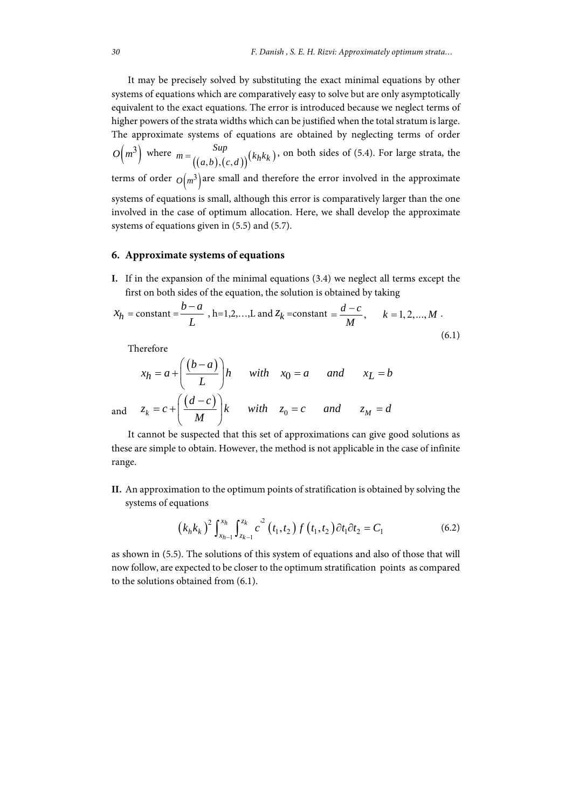It may be precisely solved by substituting the exact minimal equations by other systems of equations which are comparatively easy to solve but are only asymptotically equivalent to the exact equations. The error is introduced because we neglect terms of higher powers of the strata widths which can be justified when the total stratum is large. The approximate systems of equations are obtained by neglecting terms of order  $O\left(m^3\right)$  where  $m = {Sup \choose (a,b),(c,d)} (k_h k_k)$ , on both sides of (5.4). For large strata, the terms of order  $O(m^3)$  are small and therefore the error involved in the approximate systems of equations is small, although this error is comparatively larger than the one involved in the case of optimum allocation. Here, we shall develop the approximate systems of equations given in (5.5) and (5.7).

#### **6. Approximate systems of equations**

**I.** If in the expansion of the minimal equations (3.4) we neglect all terms except the first on both sides of the equation, the solution is obtained by taking

$$
X_h
$$
 = constant =  $\frac{b-a}{L}$ , h=1,2,...,L and  $Z_k$  =constant =  $\frac{d-c}{M}$ ,  $k = 1, 2, ..., M$ . (6.1)

Therefore

$$
x_h = a + \left(\frac{(b-a)}{L}\right)h \quad \text{with} \quad x_0 = a \quad \text{and} \quad x_L = b
$$
  
and 
$$
z_k = c + \left(\frac{(d-c)}{M}\right)k \quad \text{with} \quad z_0 = c \quad \text{and} \quad z_M = d
$$

It cannot be suspected that this set of approximations can give good solutions as these are simple to obtain. However, the method is not applicable in the case of infinite range.

**II.** An approximation to the optimum points of stratification is obtained by solving the systems of equations

$$
(k_h k_k)^2 \int_{x_{h-1}}^{x_h} \int_{z_{k-1}}^{z_k} c^2 (t_1, t_2) f(t_1, t_2) \partial t_1 \partial t_2 = C_1
$$
 (6.2)

 as shown in (5.5). The solutions of this system of equations and also of those that will now follow, are expected to be closer to the optimum stratification points as compared to the solutions obtained from (6.1).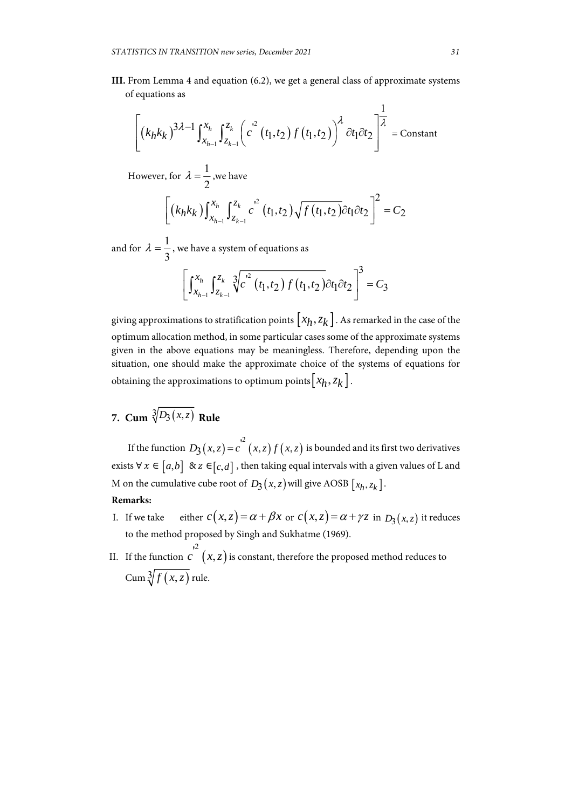**III.** From Lemma 4 and equation (6.2), we get a general class of approximate systems of equations as

$$
\left[ \left(k_h k_k\right)^{3\lambda - 1} \int_{x_{h-1}}^{x_h} \int_{z_{k-1}}^{z_k} \left( c^{2} \left(t_1, t_2\right) f\left(t_1, t_2\right) \right)^{\lambda} \partial t_1 \partial t_2 \right]^{\frac{1}{\lambda}} = \text{Constant}
$$

However, for  $\lambda = \frac{1}{2}$ 2  $\lambda = \frac{1}{2}$ , we have

$$
\[ (k_h k_k) \int_{x_{h-1}}^{x_h} \int_{z_{k-1}}^{z_k} c^2 (t_1, t_2) \sqrt{f(t_1, t_2)} \partial t_1 \partial t_2 \] \] = C_2
$$

and for  $\lambda = \frac{1}{2}$ 3  $\lambda = \frac{1}{2}$ , we have a system of equations as

$$
\left[\int_{x_{h-1}}^{x_h} \int_{z_{k-1}}^{z_k} \sqrt[3]{c'}^2 (t_1, t_2) f(t_1, t_2) dt_1 dt_2\right]^3 = C_3
$$

giving approximations to stratification points  $\left[x_h, z_k\right]$ . As remarked in the case of the optimum allocation method, in some particular cases some of the approximate systems given in the above equations may be meaningless. Therefore, depending upon the situation, one should make the approximate choice of the systems of equations for obtaining the approximations to optimum points  $[x_h, z_k]$ .

**7.** Cum  $\sqrt[3]{D_3(x,z)}$  Rule

If the function  $D_3(x, z) = c^{2^2}(x, z) f(x, z)$  is bounded and its first two derivatives exists  $\forall x \in [a,b]$  &  $z \in [c,d]$ , then taking equal intervals with a given values of L and M on the cumulative cube root of  $D_3(x, z)$  will give AOSB  $[x_h, z_k]$ .

# **Remarks:**

- I. If we take either  $c(x, z) = \alpha + \beta x$  or  $c(x, z) = \alpha + \gamma z$  in  $D_3(x, z)$  it reduces to the method proposed by Singh and Sukhatme (1969).
- II. If the function  $c(x, z)$  $c^{2}(x, z)$  is constant, therefore the proposed method reduces to Cum  $\sqrt[3]{f(x,z)}$  rule.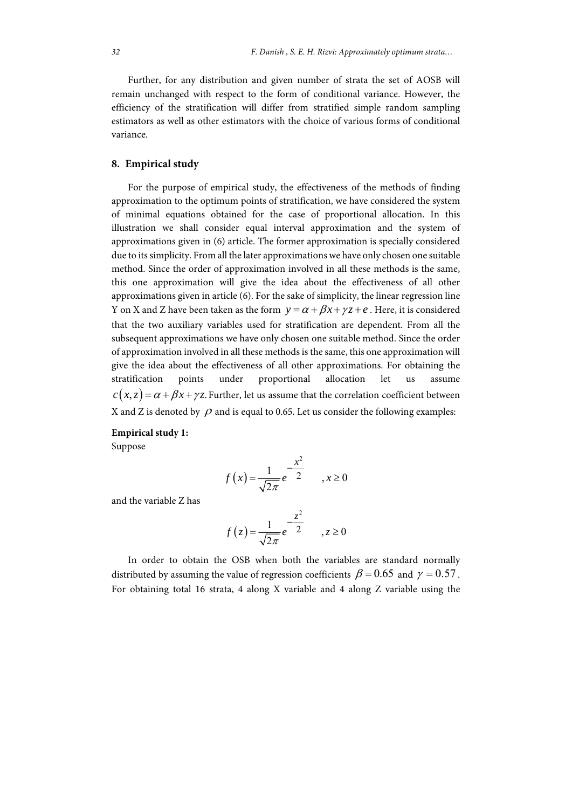Further, for any distribution and given number of strata the set of AOSB will remain unchanged with respect to the form of conditional variance. However, the efficiency of the stratification will differ from stratified simple random sampling estimators as well as other estimators with the choice of various forms of conditional variance.

# **8. Empirical study**

For the purpose of empirical study, the effectiveness of the methods of finding approximation to the optimum points of stratification, we have considered the system of minimal equations obtained for the case of proportional allocation. In this illustration we shall consider equal interval approximation and the system of approximations given in (6) article. The former approximation is specially considered due to its simplicity. From all the later approximations we have only chosen one suitable method. Since the order of approximation involved in all these methods is the same, this one approximation will give the idea about the effectiveness of all other approximations given in article (6). For the sake of simplicity, the linear regression line Y on X and Z have been taken as the form  $y = \alpha + \beta x + \gamma z + e$ . Here, it is considered that the two auxiliary variables used for stratification are dependent. From all the subsequent approximations we have only chosen one suitable method. Since the order of approximation involved in all these methods is the same, this one approximation will give the idea about the effectiveness of all other approximations. For obtaining the stratification points under proportional allocation let us assume  $c(x, z) = \alpha + \beta x + \gamma z$ . Further, let us assume that the correlation coefficient between X and Z is denoted by  $\rho$  and is equal to 0.65. Let us consider the following examples:

#### **Empirical study 1:**

Suppose

$$
f(x) = \frac{1}{\sqrt{2\pi}} e^{-\frac{x^2}{2}} \qquad x \ge 0
$$

and the variable Z has

$$
f(z) = \frac{1}{\sqrt{2\pi}} e^{-\frac{z^2}{2}} \qquad z \ge 0
$$

In order to obtain the OSB when both the variables are standard normally distributed by assuming the value of regression coefficients  $\beta = 0.65$  and  $\gamma = 0.57$ . For obtaining total 16 strata, 4 along X variable and 4 along Z variable using the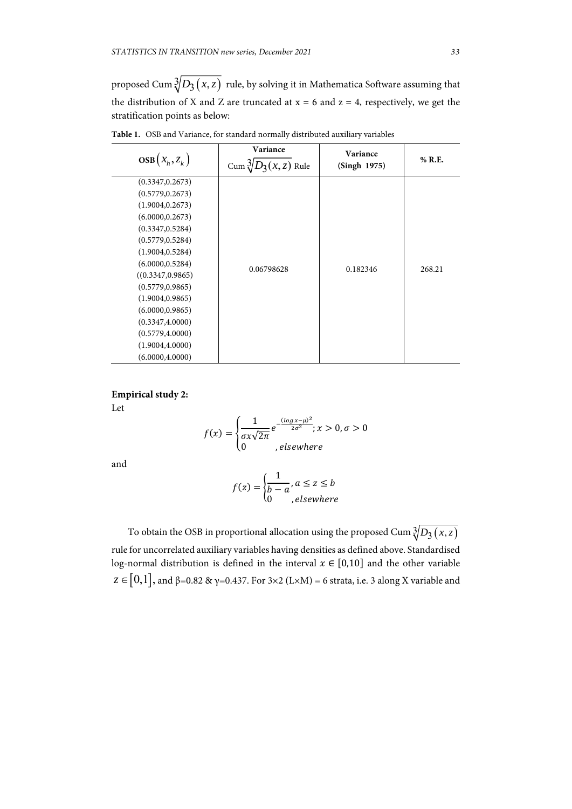proposed Cum  $\sqrt[3]{D_3(x,z)}$  rule, by solving it in Mathematica Software assuming that the distribution of X and Z are truncated at  $x = 6$  and  $z = 4$ , respectively, we get the stratification points as below:

| $\cos(x_h, z_k)$                                                                                                                                                                                                                                                                                                               | Cum $\frac{3}{2}$<br>$D_3(x,z)$ Rule | (Singh 1975) | % R.E. |
|--------------------------------------------------------------------------------------------------------------------------------------------------------------------------------------------------------------------------------------------------------------------------------------------------------------------------------|--------------------------------------|--------------|--------|
| (0.3347, 0.2673)<br>(0.5779, 0.2673)<br>(1.9004, 0.2673)<br>(6.0000, 0.2673)<br>(0.3347, 0.5284)<br>(0.5779, 0.5284)<br>(1.9004, 0.5284)<br>(6.0000, 0.5284)<br>((0.3347, 0.9865))<br>(0.5779, 0.9865)<br>(1.9004, 0.9865)<br>(6.0000, 0.9865)<br>(0.3347, 4.0000)<br>(0.5779, 4.0000)<br>(1.9004, 4.0000)<br>(6.0000, 4.0000) | 0.06798628                           | 0.182346     | 268.21 |

**Table 1.** OSB and Variance, for standard normally distributed auxiliary variables

**Empirical study 2:** 

Let

$$
f(x) = \begin{cases} \frac{1}{\sigma x \sqrt{2\pi}} e^{-\frac{(\log x - \mu)^2}{2\sigma^2}}; x > 0, \sigma > 0\\ 0, \text{elsewhere} \end{cases}
$$

and

$$
f(z) = \begin{cases} \frac{1}{b-a}, a \le z \le b\\ 0, e \le e \end{cases}
$$

To obtain the OSB in proportional allocation using the proposed Cum  $\sqrt[3]{D_3(x,z)}$ rule for uncorrelated auxiliary variables having densities as defined above. Standardised log-normal distribution is defined in the interval  $x \in [0,10]$  and the other variable  $z \in [0,1]$ , and β=0.82 & γ=0.437. For 3×2 (L×M) = 6 strata, i.e. 3 along X variable and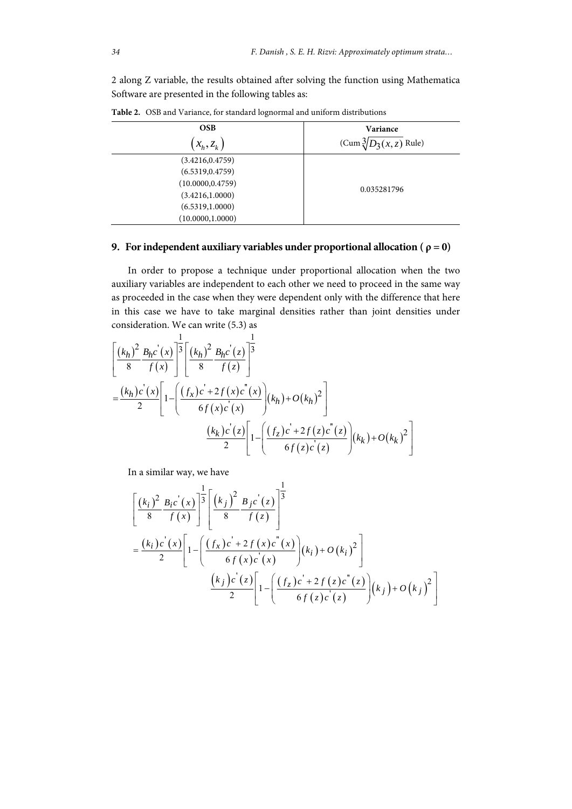2 along Z variable, the results obtained after solving the function using Mathematica Software are presented in the following tables as:

| <b>OSB</b>        | Variance                        |  |
|-------------------|---------------------------------|--|
| $(x_h, z_k)$      | $(Cum \sqrt[3]{D_3(x,z)}$ Rule) |  |
| (3.4216, 0.4759)  |                                 |  |
| (6.5319, 0.4759)  |                                 |  |
| (10.0000, 0.4759) |                                 |  |
| (3.4216, 1.0000)  | 0.035281796                     |  |
| (6.5319, 1.0000)  |                                 |  |
| (10.0000, 1.0000) |                                 |  |

**Table 2.** OSB and Variance, for standard lognormal and uniform distributions

# **9. For independent auxiliary variables under proportional allocation (** $\rho = 0$ **)**

In order to propose a technique under proportional allocation when the two auxiliary variables are independent to each other we need to proceed in the same way as proceeded in the case when they were dependent only with the difference that here in this case we have to take marginal densities rather than joint densities under consideration. We can write (5.3) as

$$
\begin{aligned}\n&\left[\frac{(k_h)^2}{8} \frac{B_h c'(x)}{f(x)}\right]^{\frac{1}{3}} \left[\frac{(k_h)^2}{8} \frac{B_h c'(z)}{f(z)}\right]^{\frac{1}{3}} \\
&= \frac{(k_h) c'(x)}{2} \left[1 - \left(\frac{(f_x) c' + 2f(x) c''(x)}{6f(x) c'(x)}\right) (k_h) + O(k_h)^2\right] \\
&\frac{(k_k) c'(z)}{2} \left[1 - \left(\frac{(f_z) c' + 2f(z) c''(z)}{6f(z) c'(z)}\right) (k_k) + O(k_k)^2\right]\n\end{aligned}
$$

In a similar way, we have

$$
\begin{aligned}\n&\left[\frac{(k_i)^2}{8} \frac{B_i c'(x)}{f(x)}\right]^{\frac{1}{3}} \left[\frac{(k_j)^2}{8} \frac{B_j c'(z)}{f(z)}\right]^{\frac{1}{3}} \\
&= \frac{(k_i) c'(x)}{2} \left[1 - \left(\frac{(f_x) c' + 2 f(x) c''(x)}{6 f(x) c'(x)}\right) (k_i) + O(k_i)^2\right] \\
&\frac{(k_j) c'(z)}{2} \left[1 - \left(\frac{(f_z) c' + 2 f(z) c''(z)}{6 f(z) c'(z)}\right) (k_j) + O(k_j)^2\right]\n\end{aligned}
$$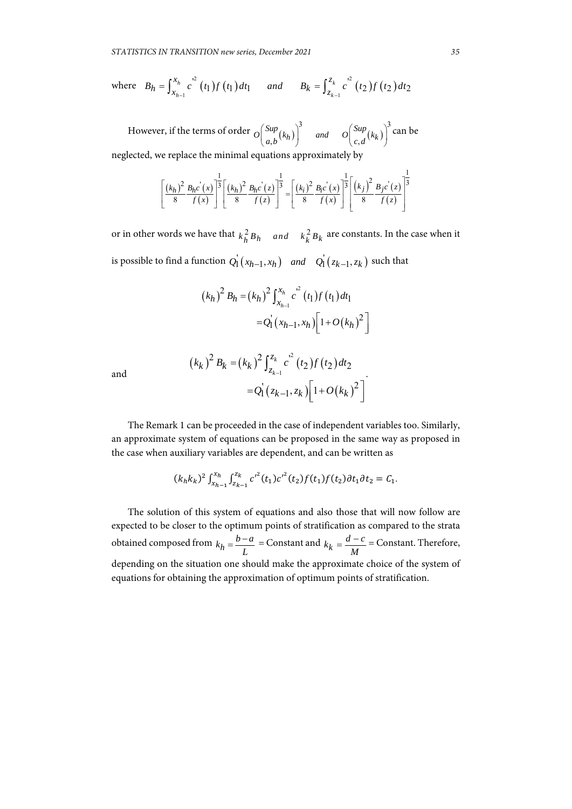where 
$$
B_h = \int_{x_{h-1}}^{x_h} c^2(t_1) f(t_1) dt_1
$$
 and  $B_k = \int_{z_{k-1}}^{z_k} c^2(t_2) f(t_2) dt_2$ 

However, if the terms of order  $\left( \frac{Sup}{(k_h)} \right)^3$  and  $\left( \frac{Sup}{(k_k)} \right)^3$  $O\left(\frac{Sup}{a,b}(k_h)\right)^3$  and  $O\left(\frac{Sup}{c,d}(k_k)\right)^3$  can be neglected, we replace the minimal equations approximately by

$$
\left[\frac{(k_h)^2}{8} \frac{B_h c^{'}(x)}{f(x)}\right]^{\frac{1}{3}} \left[\frac{(k_h)^2}{8} \frac{B_h c^{'}(z)}{f(z)}\right]^{\frac{1}{3}} = \left[\frac{(k_i)^2}{8} \frac{B_i c^{'}(x)}{f(x)}\right]^{\frac{1}{3}} \left[\frac{(k_j)^2}{8} \frac{B_j c^{'}(z)}{f(z)}\right]^{\frac{1}{3}}
$$

or in other words we have that  $k_h^2 B_h$  *and*  $k_k^2 B_k$  are constants. In the case when it is possible to find a function  $Q_1(x_{h-1}, x_h)$  and  $Q_1(x_{k-1}, z_k)$  such that

$$
(k_h)^2 B_h = (k_h)^2 \int_{x_{h-1}}^{x_h} c^2(t_1) f(t_1) dt_1
$$
  
=  $Q_1(x_{h-1}, x_h) \Big[ 1 + O(k_h)^2 \Big]$ 

and

$$
(k_k)^2 B_k = (k_k)^2 \int_{z_{k-1}}^{z_k} c^2(t_2) f(t_2) dt_2
$$
  
=  $Q_1(z_{k-1}, z_k) \Big[ 1 + O(k_k)^2 \Big]$ 

The Remark 1 can be proceeded in the case of independent variables too. Similarly, an approximate system of equations can be proposed in the same way as proposed in the case when auxiliary variables are dependent, and can be written as

$$
(k_h k_k)^2 \int_{x_{h-1}}^{x_h} \int_{z_{k-1}}^{z_k} {c'}^2(t_1) {c'}^2(t_2) f(t_1) f(t_2) \partial t_1 \partial t_2 = C_1.
$$

The solution of this system of equations and also those that will now follow are expected to be closer to the optimum points of stratification as compared to the strata obtained composed from  $k_h = \frac{b-a}{L}$  = Constant and  $k_k = \frac{d-c}{M}$  = Constant. Therefore, depending on the situation one should make the approximate choice of the system of equations for obtaining the approximation of optimum points of stratification.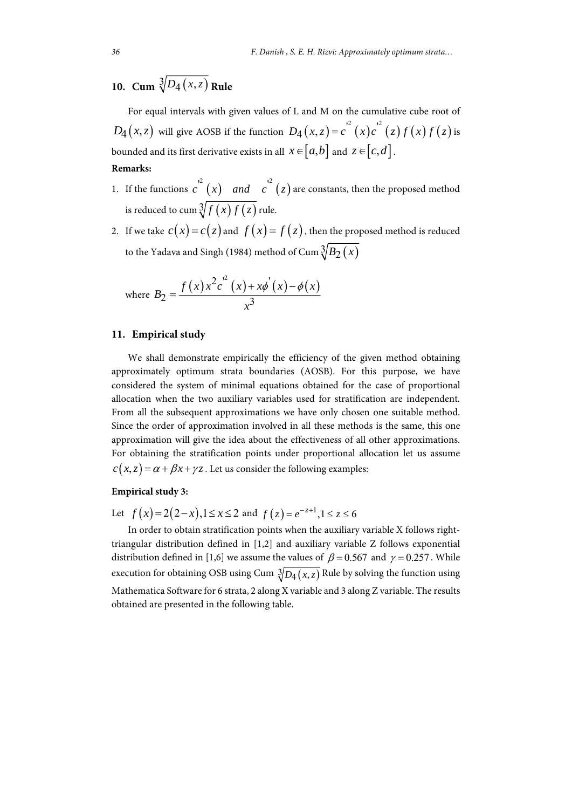# **10.** Cum  $\sqrt[3]{D_4(x,z)}$  Rule

For equal intervals with given values of L and M on the cumulative cube root of  $D_4(x, z)$  will give AOSB if the function  $D_4(x, z) = c^{r^2}(x)c^{r^2}(z)f(x)f(z)$  is bounded and its first derivative exists in all  $x \in [a,b]$  and  $z \in [c,d]$ . **Remarks:** 

- 1. If the functions  $c^{2}(x)$  *and*  $c^{2}(z)$  are constants, then the proposed method is reduced to cum  $\sqrt[3]{f(x)f(z)}$  rule.
- 2. If we take  $c(x) = c(z)$  and  $f(x) = f(z)$ , then the proposed method is reduced to the Yadava and Singh (1984) method of Cum  $\sqrt[3]{B_2(x)}$

where 
$$
B_2 = \frac{f(x)x^2c^2(x) + x\phi'(x) - \phi(x)}{x^3}
$$

### **11. Empirical study**

We shall demonstrate empirically the efficiency of the given method obtaining approximately optimum strata boundaries (AOSB). For this purpose, we have considered the system of minimal equations obtained for the case of proportional allocation when the two auxiliary variables used for stratification are independent. From all the subsequent approximations we have only chosen one suitable method. Since the order of approximation involved in all these methods is the same, this one approximation will give the idea about the effectiveness of all other approximations. For obtaining the stratification points under proportional allocation let us assume  $c(x, z) = \alpha + \beta x + \gamma z$ . Let us consider the following examples:

# **Empirical study 3:**

Let  $f(x) = 2(2-x), 1 \le x \le 2$  and  $f(z) = e^{-z+1}, 1 \le z \le 6$ 

In order to obtain stratification points when the auxiliary variable X follows righttriangular distribution defined in [1,2] and auxiliary variable Z follows exponential distribution defined in [1,6] we assume the values of  $\beta = 0.567$  and  $\gamma = 0.257$ . While execution for obtaining OSB using Cum  $\sqrt[3]{D_4(x,z)}$  Rule by solving the function using Mathematica Software for 6 strata, 2 along X variable and 3 along Z variable. The results obtained are presented in the following table.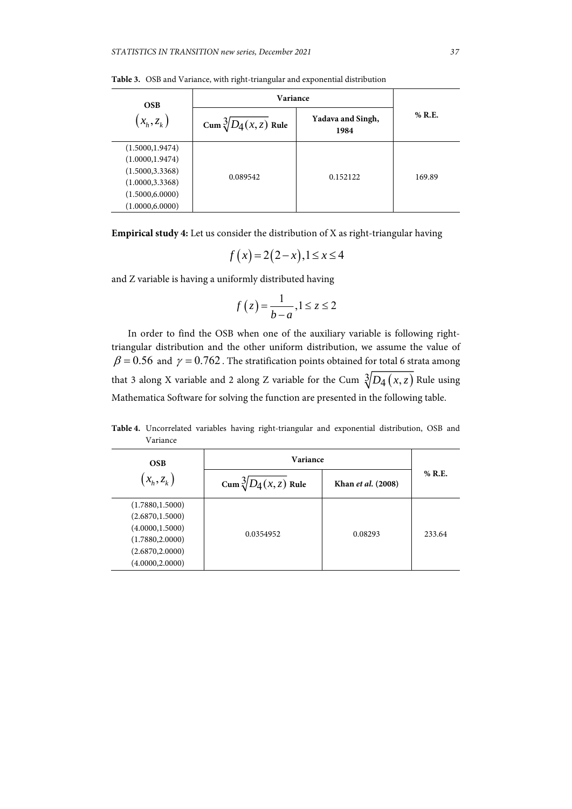| <b>OSB</b><br>$(x_h, z_k)$ | <b>Variance</b>               |                           |        |
|----------------------------|-------------------------------|---------------------------|--------|
|                            | Cum $\sqrt[3]{D_4(x,z)}$ Rule | Yadava and Singh,<br>1984 | % R.E. |
| (1.5000, 1.9474)           | 0.089542                      |                           |        |
| (1.0000, 1.9474)           |                               |                           |        |
| (1.5000, 3.3368)           |                               | 0.152122                  | 169.89 |
| (1.0000, 3.3368)           |                               |                           |        |
| (1.5000, 6.0000)           |                               |                           |        |
| (1.0000, 6.0000)           |                               |                           |        |

**Table 3.** OSB and Variance, with right-triangular and exponential distribution

**Empirical study 4:** Let us consider the distribution of X as right-triangular having

$$
f(x) = 2(2-x), 1 \le x \le 4
$$

and Z variable is having a uniformly distributed having

$$
f(z) = \frac{1}{b-a}, 1 \le z \le 2
$$

In order to find the OSB when one of the auxiliary variable is following righttriangular distribution and the other uniform distribution, we assume the value of  $\beta$  = 0.56 and  $\gamma$  = 0.762. The stratification points obtained for total 6 strata among that 3 along X variable and 2 along Z variable for the Cum  $\sqrt[3]{D_4(x,z)}$  Rule using Mathematica Software for solving the function are presented in the following table.

**Table 4.** Uncorrelated variables having right-triangular and exponential distribution, OSB and Variance

| <b>OSB</b>                                                                                                           | Variance                      |                    |          |
|----------------------------------------------------------------------------------------------------------------------|-------------------------------|--------------------|----------|
| $(x_h, z_k)$                                                                                                         | Cum $\sqrt[3]{D_4(x,z)}$ Rule | Khan et al. (2008) | $%$ R.E. |
| (1.7880, 1.5000)<br>(2.6870, 1.5000)<br>(4.0000, 1.5000)<br>(1.7880, 2.0000)<br>(2.6870, 2.0000)<br>(4.0000, 2.0000) | 0.0354952                     | 0.08293            | 233.64   |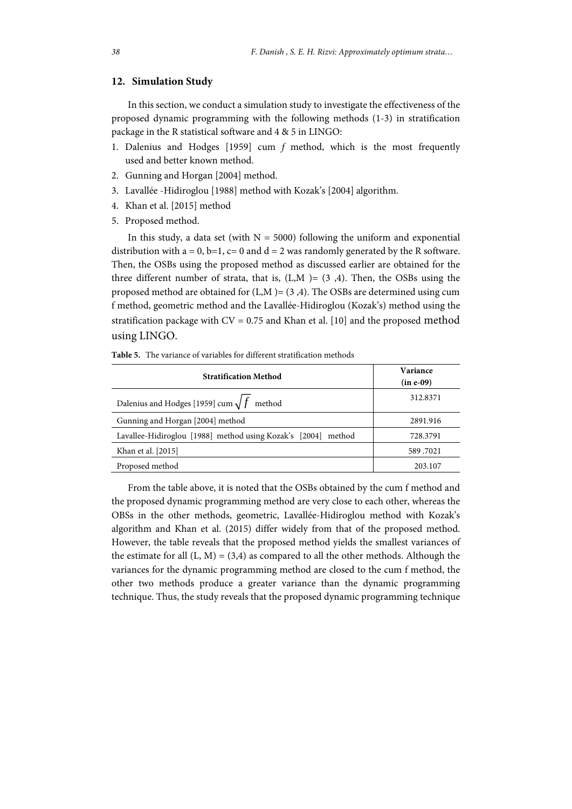# **12. Simulation Study**

In this section, we conduct a simulation study to investigate the effectiveness of the proposed dynamic programming with the following methods (1-3) in stratification package in the R statistical software and 4 & 5 in LINGO:

- 1. Dalenius and Hodges [1959] cum *f* method, which is the most frequently used and better known method.
- 2. Gunning and Horgan [2004] method.
- 3. Lavallée -Hidiroglou [1988] method with Kozak's [2004] algorithm.
- 4. Khan et al. [2015] method
- 5. Proposed method.

In this study, a data set (with  $N = 5000$ ) following the uniform and exponential distribution with  $a = 0$ ,  $b=1$ ,  $c=0$  and  $d=2$  was randomly generated by the R software. Then, the OSBs using the proposed method as discussed earlier are obtained for the three different number of strata, that is,  $(L,M) = (3,4)$ . Then, the OSBs using the proposed method are obtained for  $(L,M) = (3,4)$ . The OSBs are determined using cum f method, geometric method and the Lavallée-Hidiroglou (Kozak's) method using the stratification package with  $CV = 0.75$  and Khan et al. [10] and the proposed method using LINGO.

| <b>Table 5.</b> The variance of variables for different stratification methods |
|--------------------------------------------------------------------------------|
|--------------------------------------------------------------------------------|

| <b>Stratification Method</b>                                  | Variance<br>(in e-09) |
|---------------------------------------------------------------|-----------------------|
| Dalenius and Hodges [1959] cum $\sqrt{f}$ method              | 312.8371              |
| Gunning and Horgan [2004] method                              | 2891.916              |
| Lavallee-Hidiroglou [1988] method using Kozak's [2004] method | 728.3791              |
| Khan et al. [2015]                                            | 589.7021              |
| Proposed method                                               | 203.107               |

From the table above, it is noted that the OSBs obtained by the cum f method and the proposed dynamic programming method are very close to each other, whereas the OBSs in the other methods, geometric, Lavallée-Hidiroglou method with Kozak's algorithm and Khan et al. (2015) differ widely from that of the proposed method. However, the table reveals that the proposed method yields the smallest variances of the estimate for all  $(L, M) = (3, 4)$  as compared to all the other methods. Although the variances for the dynamic programming method are closed to the cum f method, the other two methods produce a greater variance than the dynamic programming technique. Thus, the study reveals that the proposed dynamic programming technique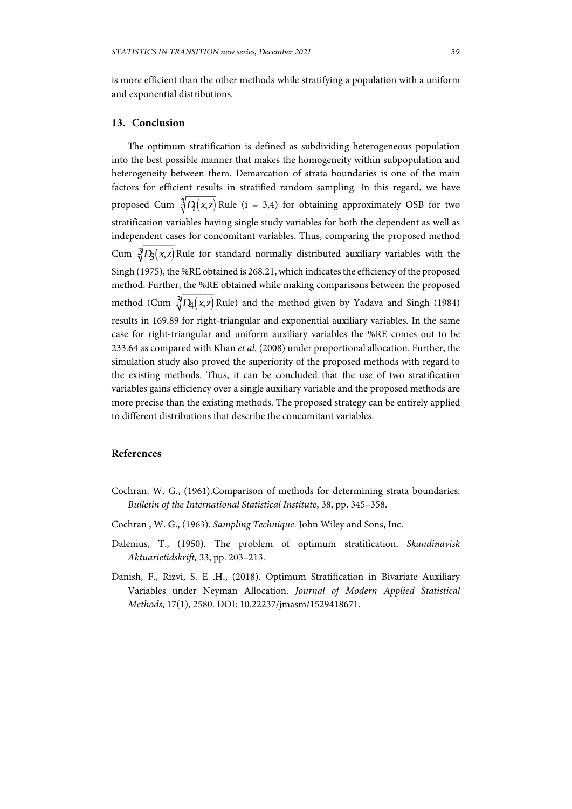is more efficient than the other methods while stratifying a population with a uniform and exponential distributions.

### **13. Conclusion**

The optimum stratification is defined as subdividing heterogeneous population into the best possible manner that makes the homogeneity within subpopulation and heterogeneity between them. Demarcation of strata boundaries is one of the main factors for efficient results in stratified random sampling. In this regard, we have proposed Cum  $\sqrt[3]{D_1(x,z)}$  Rule (i = 3,4) for obtaining approximately OSB for two stratification variables having single study variables for both the dependent as well as independent cases for concomitant variables. Thus, comparing the proposed method Cum  $\sqrt[3]{D_3(x,z)}$  Rule for standard normally distributed auxiliary variables with the Singh (1975), the %RE obtained is 268.21, which indicates the efficiency of the proposed method. Further, the %RE obtained while making comparisons between the proposed method (Cum  $\sqrt[3]{D_4(x,z)}$  Rule) and the method given by Yadava and Singh (1984) results in 169.89 for right-triangular and exponential auxiliary variables. In the same case for right-triangular and uniform auxiliary variables the %RE comes out to be 233.64 as compared with Khan *et al.* (2008) under proportional allocation. Further, the simulation study also proved the superiority of the proposed methods with regard to the existing methods. Thus, it can be concluded that the use of two stratification variables gains efficiency over a single auxiliary variable and the proposed methods are more precise than the existing methods. The proposed strategy can be entirely applied to different distributions that describe the concomitant variables.

# **References**

- Cochran, W. G., (1961).Comparison of methods for determining strata boundaries. *Bulletin of the International Statistical Institute*, 38, pp. 345–358.
- Cochran , W. G., (1963). *Sampling Technique*. John Wiley and Sons, Inc.
- Dalenius, T., (1950). The problem of optimum stratification. *Skandinavisk Aktuarietidskrift,* 33, pp. 203–213.
- Danish, F., Rizvi, S. E .H., (2018). Optimum Stratification in Bivariate Auxiliary Variables under Neyman Allocation. *Journal of Modern Applied Statistical Methods*, 17(1), 2580. DOI: 10.22237/jmasm/1529418671.